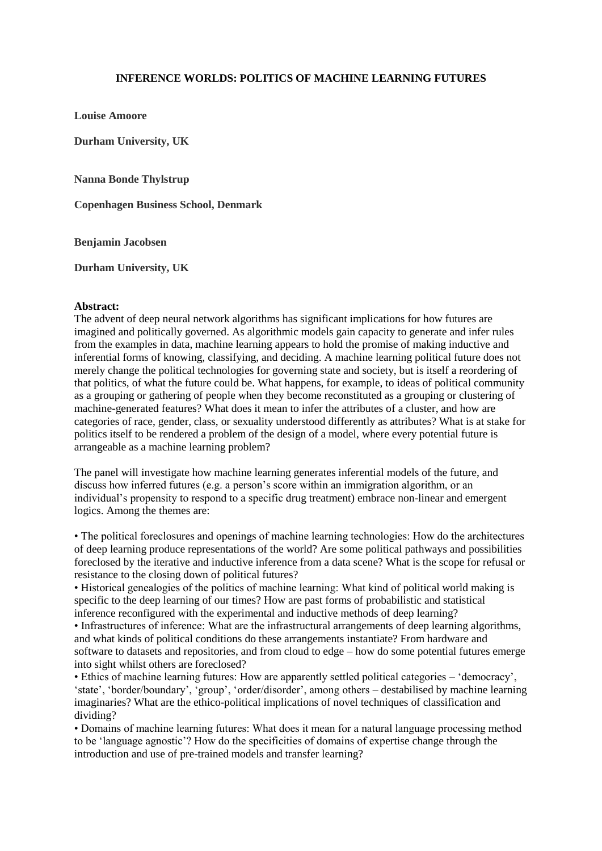## **INFERENCE WORLDS: POLITICS OF MACHINE LEARNING FUTURES**

**Louise Amoore**

**Durham University, UK**

**Nanna Bonde Thylstrup**

**Copenhagen Business School, Denmark**

**Benjamin Jacobsen**

**Durham University, UK**

## **Abstract:**

The advent of deep neural network algorithms has significant implications for how futures are imagined and politically governed. As algorithmic models gain capacity to generate and infer rules from the examples in data, machine learning appears to hold the promise of making inductive and inferential forms of knowing, classifying, and deciding. A machine learning political future does not merely change the political technologies for governing state and society, but is itself a reordering of that politics, of what the future could be. What happens, for example, to ideas of political community as a grouping or gathering of people when they become reconstituted as a grouping or clustering of machine-generated features? What does it mean to infer the attributes of a cluster, and how are categories of race, gender, class, or sexuality understood differently as attributes? What is at stake for politics itself to be rendered a problem of the design of a model, where every potential future is arrangeable as a machine learning problem?

The panel will investigate how machine learning generates inferential models of the future, and discuss how inferred futures (e.g. a person's score within an immigration algorithm, or an individual's propensity to respond to a specific drug treatment) embrace non-linear and emergent logics. Among the themes are:

• The political foreclosures and openings of machine learning technologies: How do the architectures of deep learning produce representations of the world? Are some political pathways and possibilities foreclosed by the iterative and inductive inference from a data scene? What is the scope for refusal or resistance to the closing down of political futures?

• Historical genealogies of the politics of machine learning: What kind of political world making is specific to the deep learning of our times? How are past forms of probabilistic and statistical inference reconfigured with the experimental and inductive methods of deep learning?

• Infrastructures of inference: What are the infrastructural arrangements of deep learning algorithms, and what kinds of political conditions do these arrangements instantiate? From hardware and software to datasets and repositories, and from cloud to edge – how do some potential futures emerge into sight whilst others are foreclosed?

• Ethics of machine learning futures: How are apparently settled political categories – 'democracy', 'state', 'border/boundary', 'group', 'order/disorder', among others – destabilised by machine learning imaginaries? What are the ethico-political implications of novel techniques of classification and dividing?

• Domains of machine learning futures: What does it mean for a natural language processing method to be 'language agnostic'? How do the specificities of domains of expertise change through the introduction and use of pre-trained models and transfer learning?